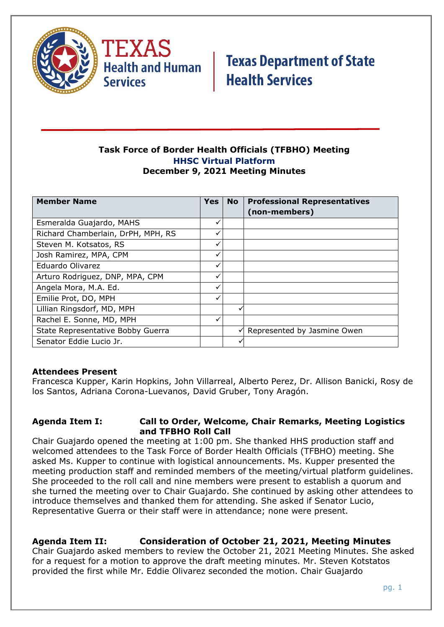



### **Task Force of Border Health Officials (TFBHO) Meeting HHSC Virtual Platform December 9, 2021 Meeting Minutes**

| <b>Member Name</b>                 | <b>Yes</b> | <b>No</b> | <b>Professional Representatives</b><br>(non-members) |
|------------------------------------|------------|-----------|------------------------------------------------------|
| Esmeralda Guajardo, MAHS           | ✓          |           |                                                      |
| Richard Chamberlain, DrPH, MPH, RS | ✓          |           |                                                      |
| Steven M. Kotsatos, RS             | ✓          |           |                                                      |
| Josh Ramirez, MPA, CPM             |            |           |                                                      |
| Eduardo Olivarez                   | ✓          |           |                                                      |
| Arturo Rodriguez, DNP, MPA, CPM    | ✓          |           |                                                      |
| Angela Mora, M.A. Ed.              | ✓          |           |                                                      |
| Emilie Prot, DO, MPH               | ✓          |           |                                                      |
| Lillian Ringsdorf, MD, MPH         |            | v         |                                                      |
| Rachel E. Sonne, MD, MPH           |            |           |                                                      |
| State Representative Bobby Guerra  |            | ✓         | Represented by Jasmine Owen                          |
| Senator Eddie Lucio Jr.            |            |           |                                                      |

### **Attendees Present**

Francesca Kupper, Karin Hopkins, John Villarreal, Alberto Perez, Dr. Allison Banicki, Rosy de los Santos, Adriana Corona-Luevanos, David Gruber, Tony Aragón.

#### **Agenda Item I: Call to Order, Welcome, Chair Remarks, Meeting Logistics and TFBHO Roll Call**

Chair Guajardo opened the meeting at 1:00 pm. She thanked HHS production staff and welcomed attendees to the Task Force of Border Health Officials (TFBHO) meeting. She asked Ms. Kupper to continue with logistical announcements. Ms. Kupper presented the meeting production staff and reminded members of the meeting/virtual platform guidelines. She proceeded to the roll call and nine members were present to establish a quorum and she turned the meeting over to Chair Guajardo. She continued by asking other attendees to introduce themselves and thanked them for attending. She asked if Senator Lucio, Representative Guerra or their staff were in attendance; none were present.

## **Agenda Item II: Consideration of October 21, 2021, Meeting Minutes**

Chair Guajardo asked members to review the October 21, 2021 Meeting Minutes. She asked for a request for a motion to approve the draft meeting minutes. Mr. Steven Kotstatos provided the first while Mr. Eddie Olivarez seconded the motion. Chair Guajardo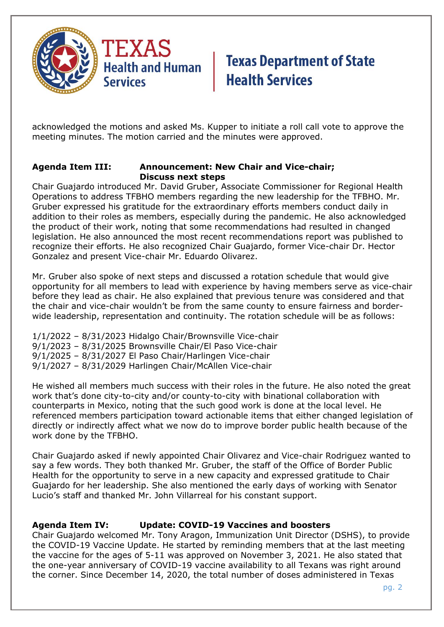

acknowledged the motions and asked Ms. Kupper to initiate a roll call vote to approve the meeting minutes. The motion carried and the minutes were approved.

#### **Agenda Item III: Announcement: New Chair and Vice-chair; Discuss next steps**

Chair Guajardo introduced Mr. David Gruber, Associate Commissioner for Regional Health Operations to address TFBHO members regarding the new leadership for the TFBHO. Mr. Gruber expressed his gratitude for the extraordinary efforts members conduct daily in addition to their roles as members, especially during the pandemic. He also acknowledged the product of their work, noting that some recommendations had resulted in changed legislation. He also announced the most recent recommendations report was published to recognize their efforts. He also recognized Chair Guajardo, former Vice-chair Dr. Hector Gonzalez and present Vice-chair Mr. Eduardo Olivarez.

Mr. Gruber also spoke of next steps and discussed a rotation schedule that would give opportunity for all members to lead with experience by having members serve as vice-chair before they lead as chair. He also explained that previous tenure was considered and that the chair and vice-chair wouldn't be from the same county to ensure fairness and borderwide leadership, representation and continuity. The rotation schedule will be as follows:

1/1/2022 – 8/31/2023 Hidalgo Chair/Brownsville Vice-chair 9/1/2023 – 8/31/2025 Brownsville Chair/El Paso Vice-chair 9/1/2025 – 8/31/2027 El Paso Chair/Harlingen Vice-chair 9/1/2027 – 8/31/2029 Harlingen Chair/McAllen Vice-chair

He wished all members much success with their roles in the future. He also noted the great work that's done city-to-city and/or county-to-city with binational collaboration with counterparts in Mexico, noting that the such good work is done at the local level. He referenced members participation toward actionable items that either changed legislation of directly or indirectly affect what we now do to improve border public health because of the work done by the TFBHO.

Chair Guajardo asked if newly appointed Chair Olivarez and Vice-chair Rodriguez wanted to say a few words. They both thanked Mr. Gruber, the staff of the Office of Border Public Health for the opportunity to serve in a new capacity and expressed gratitude to Chair Guajardo for her leadership. She also mentioned the early days of working with Senator Lucio's staff and thanked Mr. John Villarreal for his constant support.

### **Agenda Item IV: Update: COVID-19 Vaccines and boosters**

Chair Guajardo welcomed Mr. Tony Aragon, Immunization Unit Director (DSHS), to provide the COVID-19 Vaccine Update. He started by reminding members that at the last meeting the vaccine for the ages of 5-11 was approved on November 3, 2021. He also stated that the one-year anniversary of COVID-19 vaccine availability to all Texans was right around the corner. Since December 14, 2020, the total number of doses administered in Texas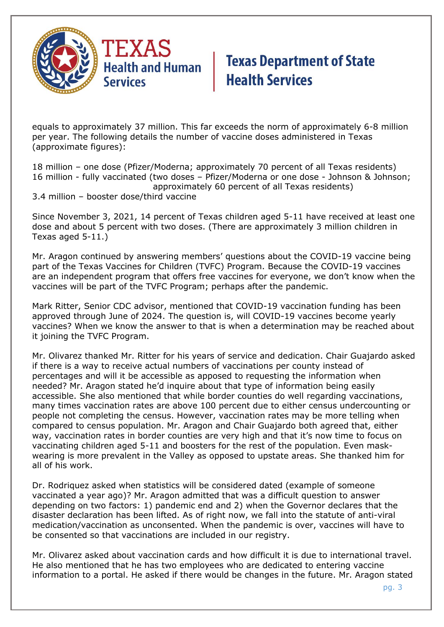

equals to approximately 37 million. This far exceeds the norm of approximately 6-8 million per year. The following details the number of vaccine doses administered in Texas (approximate figures):

18 million – one dose (Pfizer/Moderna; approximately 70 percent of all Texas residents) 16 million - fully vaccinated (two doses – Pfizer/Moderna or one dose - Johnson & Johnson; approximately 60 percent of all Texas residents) 3.4 million – booster dose/third vaccine

Since November 3, 2021, 14 percent of Texas children aged 5-11 have received at least one dose and about 5 percent with two doses. (There are approximately 3 million children in Texas aged 5-11.)

Mr. Aragon continued by answering members' questions about the COVID-19 vaccine being part of the Texas Vaccines for Children (TVFC) Program. Because the COVID-19 vaccines are an independent program that offers free vaccines for everyone, we don't know when the vaccines will be part of the TVFC Program; perhaps after the pandemic.

Mark Ritter, Senior CDC advisor, mentioned that COVID-19 vaccination funding has been approved through June of 2024. The question is, will COVID-19 vaccines become yearly vaccines? When we know the answer to that is when a determination may be reached about it joining the TVFC Program.

Mr. Olivarez thanked Mr. Ritter for his years of service and dedication. Chair Guajardo asked if there is a way to receive actual numbers of vaccinations per county instead of percentages and will it be accessible as apposed to requesting the information when needed? Mr. Aragon stated he'd inquire about that type of information being easily accessible. She also mentioned that while border counties do well regarding vaccinations, many times vaccination rates are above 100 percent due to either census undercounting or people not completing the census. However, vaccination rates may be more telling when compared to census population. Mr. Aragon and Chair Guajardo both agreed that, either way, vaccination rates in border counties are very high and that it's now time to focus on vaccinating children aged 5-11 and boosters for the rest of the population. Even maskwearing is more prevalent in the Valley as opposed to upstate areas. She thanked him for all of his work.

Dr. Rodriquez asked when statistics will be considered dated (example of someone vaccinated a year ago)? Mr. Aragon admitted that was a difficult question to answer depending on two factors: 1) pandemic end and 2) when the Governor declares that the disaster declaration has been lifted. As of right now, we fall into the statute of anti-viral medication/vaccination as unconsented. When the pandemic is over, vaccines will have to be consented so that vaccinations are included in our registry.

Mr. Olivarez asked about vaccination cards and how difficult it is due to international travel. He also mentioned that he has two employees who are dedicated to entering vaccine information to a portal. He asked if there would be changes in the future. Mr. Aragon stated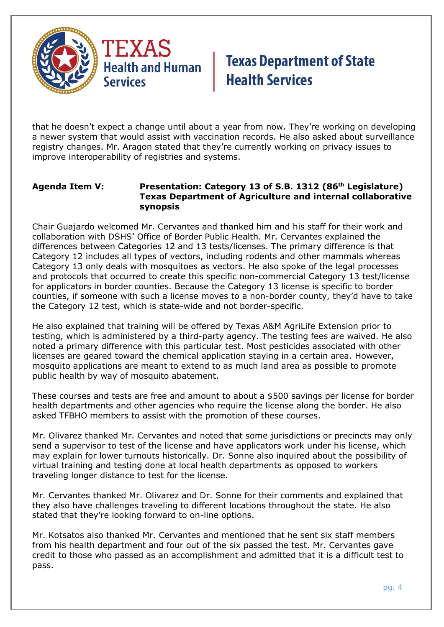

that he doesn't expect a change until about a year from now. They're working on developing a newer system that would assist with vaccination records. He also asked about surveillance registry changes. Mr. Aragon stated that they're currently working on privacy issues to improve interoperability of registries and systems.

#### **Agenda Item V: Presentation: Category 13 of S.B. 1312 (86th Legislature) Texas Department of Agriculture and internal collaborative synopsis**

Chair Guajardo welcomed Mr. Cervantes and thanked him and his staff for their work and collaboration with DSHS' Office of Border Public Health. Mr. Cervantes explained the differences between Categories 12 and 13 tests/licenses. The primary difference is that Category 12 includes all types of vectors, including rodents and other mammals whereas Category 13 only deals with mosquitoes as vectors. He also spoke of the legal processes and protocols that occurred to create this specific non-commercial Category 13 test/license for applicators in border counties. Because the Category 13 license is specific to border counties, if someone with such a license moves to a non-border county, they'd have to take the Category 12 test, which is state-wide and not border-specific.

He also explained that training will be offered by Texas A&M AgriLife Extension prior to testing, which is administered by a third-party agency. The testing fees are waived. He also noted a primary difference with this particular test. Most pesticides associated with other licenses are geared toward the chemical application staying in a certain area. However, mosquito applications are meant to extend to as much land area as possible to promote public health by way of mosquito abatement.

These courses and tests are free and amount to about a \$500 savings per license for border health departments and other agencies who require the license along the border. He also asked TFBHO members to assist with the promotion of these courses.

Mr. Olivarez thanked Mr. Cervantes and noted that some jurisdictions or precincts may only send a supervisor to test of the license and have applicators work under his license, which may explain for lower turnouts historically. Dr. Sonne also inquired about the possibility of virtual training and testing done at local health departments as opposed to workers traveling longer distance to test for the license.

Mr. Cervantes thanked Mr. Olivarez and Dr. Sonne for their comments and explained that they also have challenges traveling to different locations throughout the state. He also stated that they're looking forward to on-line options.

Mr. Kotsatos also thanked Mr. Cervantes and mentioned that he sent six staff members from his health department and four out of the six passed the test. Mr. Cervantes gave credit to those who passed as an accomplishment and admitted that it is a difficult test to pass.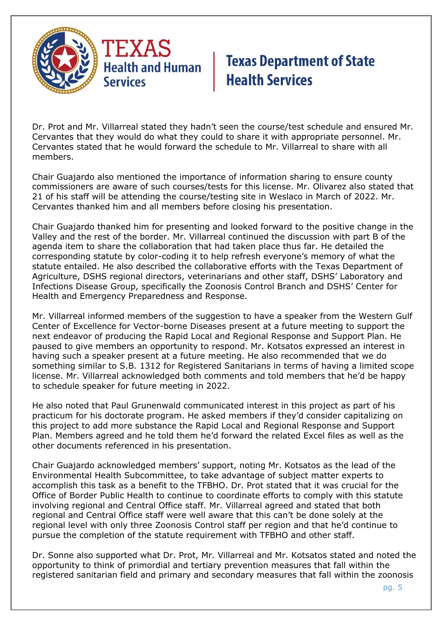

Dr. Prot and Mr. Villarreal stated they hadn't seen the course/test schedule and ensured Mr. Cervantes that they would do what they could to share it with appropriate personnel. Mr. Cervantes stated that he would forward the schedule to Mr. Villarreal to share with all members.

Chair Guajardo also mentioned the importance of information sharing to ensure county commissioners are aware of such courses/tests for this license. Mr. Olivarez also stated that 21 of his staff will be attending the course/testing site in Weslaco in March of 2022. Mr. Cervantes thanked him and all members before closing his presentation.

Chair Guajardo thanked him for presenting and looked forward to the positive change in the Valley and the rest of the border. Mr. Villarreal continued the discussion with part B of the agenda item to share the collaboration that had taken place thus far. He detailed the corresponding statute by color-coding it to help refresh everyone's memory of what the statute entailed. He also described the collaborative efforts with the Texas Department of Agriculture, DSHS regional directors, veterinarians and other staff, DSHS' Laboratory and Infections Disease Group, specifically the Zoonosis Control Branch and DSHS' Center for Health and Emergency Preparedness and Response.

Mr. Villarreal informed members of the suggestion to have a speaker from the Western Gulf Center of Excellence for Vector-borne Diseases present at a future meeting to support the next endeavor of producing the Rapid Local and Regional Response and Support Plan. He paused to give members an opportunity to respond. Mr. Kotsatos expressed an interest in having such a speaker present at a future meeting. He also recommended that we do something similar to S.B. 1312 for Registered Sanitarians in terms of having a limited scope license. Mr. Villarreal acknowledged both comments and told members that he'd be happy to schedule speaker for future meeting in 2022.

He also noted that Paul Grunenwald communicated interest in this project as part of his practicum for his doctorate program. He asked members if they'd consider capitalizing on this project to add more substance the Rapid Local and Regional Response and Support Plan. Members agreed and he told them he'd forward the related Excel files as well as the other documents referenced in his presentation.

Chair Guajardo acknowledged members' support, noting Mr. Kotsatos as the lead of the Environmental Health Subcommittee, to take advantage of subject matter experts to accomplish this task as a benefit to the TFBHO. Dr. Prot stated that it was crucial for the Office of Border Public Health to continue to coordinate efforts to comply with this statute involving regional and Central Office staff. Mr. Villarreal agreed and stated that both regional and Central Office staff were well aware that this can't be done solely at the regional level with only three Zoonosis Control staff per region and that he'd continue to pursue the completion of the statute requirement with TFBHO and other staff.

Dr. Sonne also supported what Dr. Prot, Mr. Villarreal and Mr. Kotsatos stated and noted the opportunity to think of primordial and tertiary prevention measures that fall within the registered sanitarian field and primary and secondary measures that fall within the zoonosis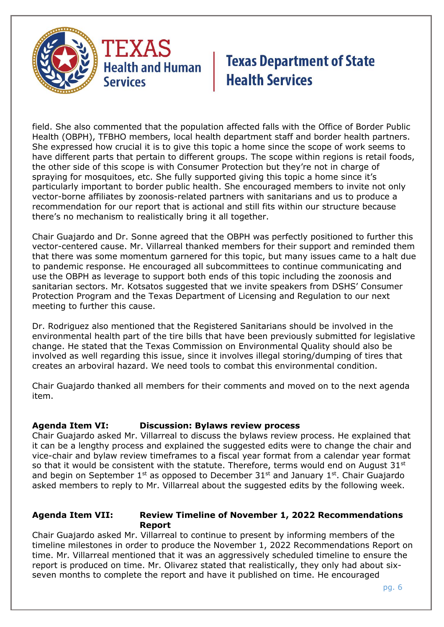

field. She also commented that the population affected falls with the Office of Border Public Health (OBPH), TFBHO members, local health department staff and border health partners. She expressed how crucial it is to give this topic a home since the scope of work seems to have different parts that pertain to different groups. The scope within regions is retail foods, the other side of this scope is with Consumer Protection but they're not in charge of spraying for mosquitoes, etc. She fully supported giving this topic a home since it's particularly important to border public health. She encouraged members to invite not only vector-borne affiliates by zoonosis-related partners with sanitarians and us to produce a recommendation for our report that is actional and still fits within our structure because there's no mechanism to realistically bring it all together.

Chair Guajardo and Dr. Sonne agreed that the OBPH was perfectly positioned to further this vector-centered cause. Mr. Villarreal thanked members for their support and reminded them that there was some momentum garnered for this topic, but many issues came to a halt due to pandemic response. He encouraged all subcommittees to continue communicating and use the OBPH as leverage to support both ends of this topic including the zoonosis and sanitarian sectors. Mr. Kotsatos suggested that we invite speakers from DSHS' Consumer Protection Program and the Texas Department of Licensing and Regulation to our next meeting to further this cause.

Dr. Rodriguez also mentioned that the Registered Sanitarians should be involved in the environmental health part of the tire bills that have been previously submitted for legislative change. He stated that the Texas Commission on Environmental Quality should also be involved as well regarding this issue, since it involves illegal storing/dumping of tires that creates an arboviral hazard. We need tools to combat this environmental condition.

Chair Guajardo thanked all members for their comments and moved on to the next agenda item.

### **Agenda Item VI: Discussion: Bylaws review process**

Chair Guajardo asked Mr. Villarreal to discuss the bylaws review process. He explained that it can be a lengthy process and explained the suggested edits were to change the chair and vice-chair and bylaw review timeframes to a fiscal year format from a calendar year format so that it would be consistent with the statute. Therefore, terms would end on August  $31^{st}$ and begin on September  $1^{st}$  as opposed to December  $31^{st}$  and January  $1^{st}$ . Chair Guajardo asked members to reply to Mr. Villarreal about the suggested edits by the following week.

#### **Agenda Item VII: Review Timeline of November 1, 2022 Recommendations Report**

Chair Guajardo asked Mr. Villarreal to continue to present by informing members of the timeline milestones in order to produce the November 1, 2022 Recommendations Report on time. Mr. Villarreal mentioned that it was an aggressively scheduled timeline to ensure the report is produced on time. Mr. Olivarez stated that realistically, they only had about sixseven months to complete the report and have it published on time. He encouraged